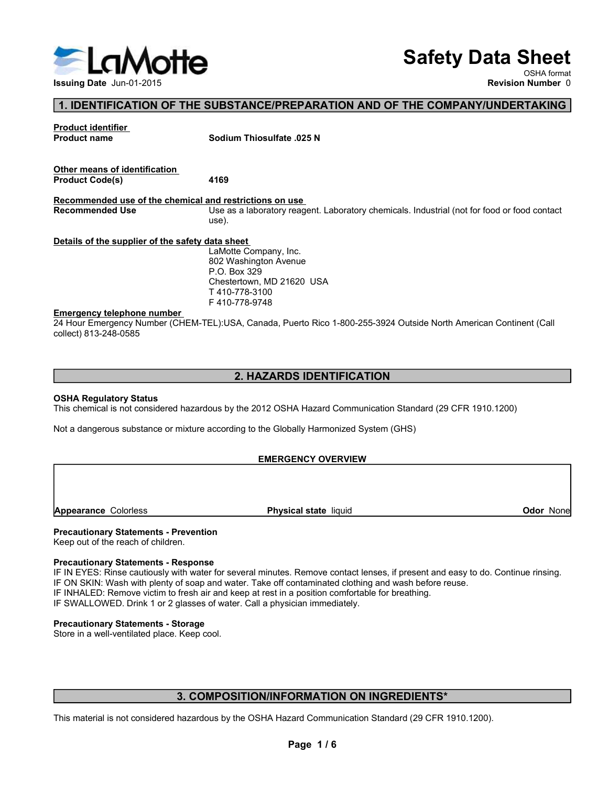

# Safety Data Sheet

OSHA format

# 1. IDENTIFICATION OF THE SUBSTANCE/PREPARATION AND OF THE COMPANY/UNDERTAKING

Safety Data Sheet<br>
Issuing Date Jun-01-2015<br>
The SUBSTANCE/PREPARATION AND OF THE COMPANY/UNDERTAKING<br>
Product identifier<br>
Product name<br>
Product name<br>
Revision Number 0<br>
Revision Number 0<br>
Revision Number 0<br>
Revision Numbe S<br>
S<br>
S<br> **1. IDENTIFICATION OF THE SUBSTANCE/PREPARATION AND OF TH<br>
Product identifier**<br>
Product name Sodium Thiosulfate .025 N<br>
Other means of identification<br>
Product Code(s) 4169 **Product dentification**<br> **Product denighed United Some Software Construction Number 0**<br> **Product identifier.**<br>
Product name Sodium Thiosulfate .025 N<br>
Product Code(s)<br>
Product Code(s)<br> **Product Code(s)**<br> **Product Code(s)**<br> Safe<br>
Issuing Date Jun-01-2015<br>
1. IDENTIFICATION OF THE SUBSTANCE/PREPARATION AND OF THE CONTROLL ISSUES TRANCE/PREPARATION AND OF THE CONTROLL ISSUES TRANCE/PREPARATION AND OF THE CONTROLL ISSUES SOCIUM Thiosulfate .025 **Example and Jun-01-2015**<br>
Issuing Date Jun-01-2015<br>
Troduct identifier<br>
Product code(s)<br>
Product Code(s)<br>
Product Code(s)<br>
Product Code(s)<br>
Product Code(s)<br>
Recommended use of the chemical and restrictions on use<br>
Necomme **EXERCISE THE SUBSTANCE/PREPARATION AND OF THE COMPANY/UNDERTAKING**<br> **Revision Number 0**<br> **Recording Data Shows** on University of the Company/UNDERTAKING<br>
Product trams<br> **Product Code(s)**<br> **Product Code(s)**<br> **Recommended u** Safety Data Sheet<br>
Revision Number<br>
1. IDENTIFICATION OF THE SUBSTANCE/PREPARATION AND OF THE COMPANY/UNDERTAKING<br>
Product chemicals<br>
Product Code(s)<br>
Other means of identification<br>
Product Code(s)<br>
Product Code(s)<br>
Use as use). Safety Data Sheeting Data sheet<br>
1. IDENTIFICATION OF THE SUBSTANCE/PREPARATION AND OF THE COMPANY/UNDERTAKI<br>
Product identifier<br>
Product code(s)<br>
Product code(s)<br>
Product Code(s)<br>
Product Code(s)<br>
Product Code(s)<br>
Becomme Safety I<br>
Issuing Date Jun-01-2015<br>
1. IDENTIFICATION OF THE SUBSTANCE/PREPARATION AND OF THE COMPAN<br>
Product identifier<br>
Product change<br>
Product Code(s)<br>
Ates<br>
Recommended use of the chemical and restrictions on use<br>
Reco 24 HOURTHE CATION OF THE SUBSTANCE/PREPARATION AND OF THE COMPANY/UNDERTAKING<br>
24 Hourse of the company<br>
24 Hourse of the COMPANY/UNDERTAKING<br>
24 Product don't<br>
24 Product code)<br>
24 Product code)<br>
24 Hourse of the state of Issuing Date Jun-01-2015<br>
1. IDENTIFICATION OF THE SUBSTANCE/PREPARATION AND OF T<br>
Product identifier<br>
Product name<br>
Sodium Thiosulfate .025 N<br>
Other means of identification<br>
Product Code(s)<br>
Product Code(s)<br>
4169<br>
Recomme Product riame<br>
Product Code(s)<br>
Product Code(s)<br>
Recommended use of the chemical and restrictions on use<br>
Recommended use of the chemical and restrictions on use<br>
Use as a laboratory reagent. Laboratory chemicals. Industr Other means of identification.<br> **Recommended use of the chemical is not considered in destrictions on use**<br>
Recommended Use<br>
Details of the supplier of the safety dia hastel means<br>
the 2012 OSHA Hazard Communication Standa Unter mains and the chemical and restrictions on use<br>
Recommended use of the chemical and restrictions on use<br>
Recommended Use<br>
Details of the supplier of the safety data short<br>
Use is a laboratory reagent. Laboratory chem Chestertown, MD 21620 USA<br>
T410-778-3100<br>
T410-778-3100<br>
24 Hour Emergency Number (CHEM-TEL):USA, Canada, Puerto Rico 1-800-255-3924 Outside North American<br>
collect) 813-248-0585<br>
2. HAZARDS IDENTIFICATION<br>
SHA Regulatory The right of the reach of children.<br>
The right of the right of the right of the right of the right of the right of the right of the right of children.<br>
This chemical is not considered hazardous by the 2012 OSHA Hazard Comm Emergency telephone number<br>
24 Hour Emergency Number (CHEM-TEL):USA, Canada, Puerto Rico 1-800-255-3924 Outside North American<br>
collect) 813-246-0585<br>
2. HAZARDS IDENTIFICATION<br>
2. HAZARDS IDENTIFICATION<br>
2. HAZARDS IDENTI **EXERCISE CAUTE CONDER INTERNATION CONTROL CONTROL CONTROL CONTROL CONTROL CONTROL CONTROL CONTROL CONTROL CONTROL CONTROL CONTROL CONTROL CONTROL CONTROL CONTROL CONTROL CONTROL CONTROL CONTROL CONTROL CONTROL CONTROL CON** 2. **HAZARDS IDENTIFICATION**<br>
2. **HAZARDS IDENTIFICATION**<br>
SCRIM Requised by 13-248-0585<br>
2. **HAZARDS IDENTIFICATION**<br>
This chemical is not considered hazardous by the 2012 OSHA Hazard Communication Standard (29 CFR 1910.12 **Safety Data Sheet**<br>
Revision Number 0<br>
Revision Number 0<br>
Sodium Thiosulfate .025 N<br>
4169<br>
<u>nd restrictions on use</u><br>
alse as a laboratory reagent. Laboratory chemicals. Industrial (not for food or food contact<br>
Use as a l **Safety Data Sheet**<br>
SHA format<br>
Revision Number 0<br>
Sodium Thiosulfate .025 N<br> **Sodium Thiosulfate .025 N**<br> **A169**<br>
<u>Marsetictions on use</u><br>
and restrictions on <u>use</u><br>
Lite as laboratory reagent. Laboratory chemicals. Indus P.O. Box 329 **Safety Data Sheet**<br>
NEW OSHA format<br>
Revision Number 0<br>
Sodium Thiosulfate .025 N<br>
Sodium Thiosulfate .025 N<br>
1469<br>
Use as a laboratory reagent. Laboratory chemicals. Industrial (not for food or food contact<br>
Use as a lab T 410-778-3100 F 410-778-9748 Emergency telephone number<br>
Color Nashington Avenue<br>
Checkrown, MD 21620 USA<br>
T 410-778-3148<br>
T 410-778-3148<br>
This chemical state liquid<br>
Color Checkrown Municipal CHEM-TEL);USA, Canada, Puerto Rico 1-800-255-3924 Outside

# 2. HAZARDS IDENTIFICATION

# EMERGENCY OVERVIEW

2. HAZARDS IDENTIFICATION<br>
2. HAZARDS IDENTIFICATION<br>
This chemical is not considered hazardous by the 2012 OSHA Hazard Communication Standard (29 CFR 1910.1200)<br>
Not a dangerous substance or mixture according to the Globa **2. HAZARDS IDENTIFICATION**<br>
IT This chemical is not considered hazardous by the 2012 OSHA Hazard Communication Standard (29 CFR 1910.1200)<br>
Not a dangerous substance or mixture according to the Globally Harmonized System **2. HAZARDS IDENTIFICATION**<br>
This chemical is not considered hazardous by the 2012 OSHA Hazard Communication Standard (29 CFR 1910.<br>
Not a dangerous substance or mixture according to the Globally Harmonized System (GHS)<br>
F 2. HAZARDS IDENTIFICATION<br>
STAR Regulatory Status<br>
This chemical is not considered hazardous by the 2012 OSHA Hazard Communication Standard (29 CFR 1910.1200)<br>
Not a dangerous substance or mixture according to the Globally EMIENCENICY OVERVIEW<br> **The Material is not**<br> **Procession of the reach of children.**<br> **Procession of the reach of children.**<br> **Procession of the reach of children.**<br> **Procession of the reach of children.**<br> **IF ON STAN: Weak Cal state** liquid<br> **Color None**<br> **Color None**<br> **Color None**<br> **Color None**<br> **Color None**<br> **Color None**<br> **Color None**<br> **Color Solor Confidelers (A)**<br> **CORMATION ON INGREDIENTS\***<br> **CORMATION ON INGREDIENTS\***<br> **CORMATION ON I** 

# 3. COMPOSITION/INFORMATION ON INGREDIENTS\*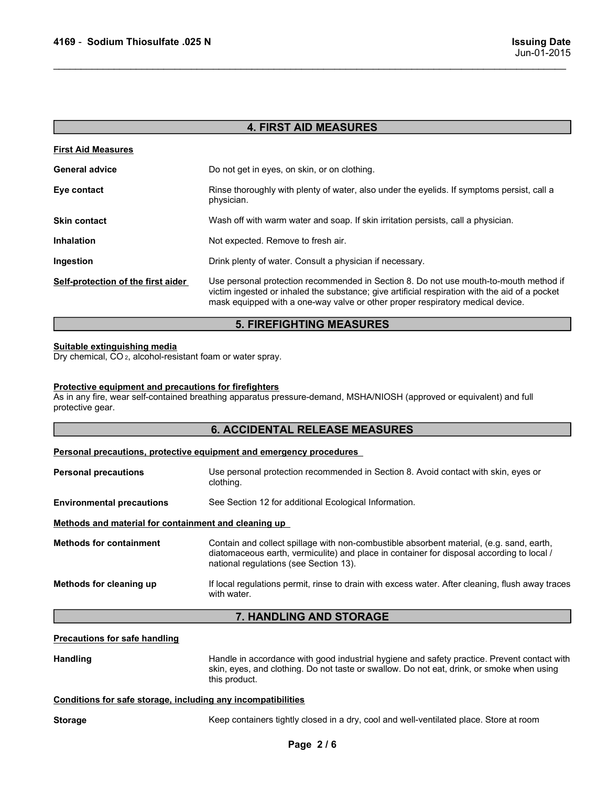| 4169 - Sodium Thiosulfate .025 N                                                                              |                                                                                                                                                                                                                                                                           |
|---------------------------------------------------------------------------------------------------------------|---------------------------------------------------------------------------------------------------------------------------------------------------------------------------------------------------------------------------------------------------------------------------|
|                                                                                                               | <b>Issuing Date</b><br>Jun-01-2015                                                                                                                                                                                                                                        |
|                                                                                                               |                                                                                                                                                                                                                                                                           |
|                                                                                                               |                                                                                                                                                                                                                                                                           |
|                                                                                                               |                                                                                                                                                                                                                                                                           |
|                                                                                                               | <b>4. FIRST AID MEASURES</b>                                                                                                                                                                                                                                              |
| <b>First Aid Measures</b>                                                                                     |                                                                                                                                                                                                                                                                           |
| <b>General advice</b>                                                                                         | Do not get in eyes, on skin, or on clothing.                                                                                                                                                                                                                              |
| Eye contact                                                                                                   | Rinse thoroughly with plenty of water, also under the eyelids. If symptoms persist, call a<br>physician.                                                                                                                                                                  |
| <b>Skin contact</b>                                                                                           | Wash off with warm water and soap. If skin irritation persists, call a physician.                                                                                                                                                                                         |
| <b>Inhalation</b>                                                                                             | Not expected. Remove to fresh air.                                                                                                                                                                                                                                        |
| Ingestion                                                                                                     | Drink plenty of water. Consult a physician if necessary.                                                                                                                                                                                                                  |
| Self-protection of the first aider                                                                            | Use personal protection recommended in Section 8. Do not use mouth-to-mouth method if<br>victim ingested or inhaled the substance; give artificial respiration with the aid of a pocket<br>mask equipped with a one-way valve or other proper respiratory medical device. |
|                                                                                                               | <b>5. FIREFIGHTING MEASURES</b>                                                                                                                                                                                                                                           |
| <b>Suitable extinguishing media</b><br>Dry chemical, CO <sub>2</sub> , alcohol-resistant foam or water spray. |                                                                                                                                                                                                                                                                           |
| Protective equipment and precautions for firefighters<br>protective gear.                                     | As in any fire, wear self-contained breathing apparatus pressure-demand, MSHA/NIOSH (approved or equivalent) and full                                                                                                                                                     |
|                                                                                                               | <b>6. ACCIDENTAL RELEASE MEASURES</b>                                                                                                                                                                                                                                     |
|                                                                                                               | Personal precautions, protective equipment and emergency procedures                                                                                                                                                                                                       |
| <b>Personal precautions</b>                                                                                   | Use personal protection recommended in Section 8. Avoid contact with skin, eyes or<br>clothing.                                                                                                                                                                           |
| <b>Environmental precautions</b>                                                                              | See Section 12 for additional Ecological Information.                                                                                                                                                                                                                     |
| Methods and material for containment and cleaning up                                                          |                                                                                                                                                                                                                                                                           |
|                                                                                                               |                                                                                                                                                                                                                                                                           |

# 5. FIREFIGHTING MEASURES

# 6. ACCIDENTAL RELEASE MEASURES

| a.auv                                                                                                  | i vot capcolog. I volllovo to li coli ali .                                                                                                                                                                                                                               |  |
|--------------------------------------------------------------------------------------------------------|---------------------------------------------------------------------------------------------------------------------------------------------------------------------------------------------------------------------------------------------------------------------------|--|
| Ingestion                                                                                              | Drink plenty of water. Consult a physician if necessary.                                                                                                                                                                                                                  |  |
| Self-protection of the first aider                                                                     | Use personal protection recommended in Section 8. Do not use mouth-to-mouth method if<br>victim ingested or inhaled the substance; give artificial respiration with the aid of a pocket<br>mask equipped with a one-way valve or other proper respiratory medical device. |  |
|                                                                                                        | <b>5. FIREFIGHTING MEASURES</b>                                                                                                                                                                                                                                           |  |
| Suitable extinguishing media<br>Dry chemical, CO <sub>2</sub> , alcohol-resistant foam or water spray. |                                                                                                                                                                                                                                                                           |  |
| Protective equipment and precautions for firefighters<br>protective gear.                              | As in any fire, wear self-contained breathing apparatus pressure-demand, MSHA/NIOSH (approved or equivalent) and full                                                                                                                                                     |  |
|                                                                                                        | <b>6. ACCIDENTAL RELEASE MEASURES</b>                                                                                                                                                                                                                                     |  |
|                                                                                                        | Personal precautions, protective equipment and emergency procedures                                                                                                                                                                                                       |  |
| <b>Personal precautions</b>                                                                            | Use personal protection recommended in Section 8. Avoid contact with skin, eyes or<br>clothing.                                                                                                                                                                           |  |
| <b>Environmental precautions</b>                                                                       | See Section 12 for additional Ecological Information.                                                                                                                                                                                                                     |  |
| Methods and material for containment and cleaning up                                                   |                                                                                                                                                                                                                                                                           |  |
| <b>Methods for containment</b>                                                                         | Contain and collect spillage with non-combustible absorbent material, (e.g. sand, earth,<br>diatomaceous earth, vermiculite) and place in container for disposal according to local /<br>national regulations (see Section 13).                                           |  |
| Methods for cleaning up                                                                                | If local regulations permit, rinse to drain with excess water. After cleaning, flush away traces<br>with water.                                                                                                                                                           |  |
|                                                                                                        | 7. HANDLING AND STORAGE                                                                                                                                                                                                                                                   |  |
| <b>Precautions for safe handling</b>                                                                   |                                                                                                                                                                                                                                                                           |  |
| <b>Handling</b>                                                                                        | Handle in accordance with good industrial hygiene and safety practice. Prevent contact with<br>skin, eyes, and clothing. Do not taste or swallow. Do not eat, drink, or smoke when using<br>this product.                                                                 |  |
| Conditions for safe storage, including any incompatibilities                                           |                                                                                                                                                                                                                                                                           |  |
| <b>Storage</b>                                                                                         | Keep containers tightly closed in a dry, cool and well-ventilated place. Store at room                                                                                                                                                                                    |  |
|                                                                                                        | Page 2/6                                                                                                                                                                                                                                                                  |  |
|                                                                                                        |                                                                                                                                                                                                                                                                           |  |
|                                                                                                        |                                                                                                                                                                                                                                                                           |  |
|                                                                                                        |                                                                                                                                                                                                                                                                           |  |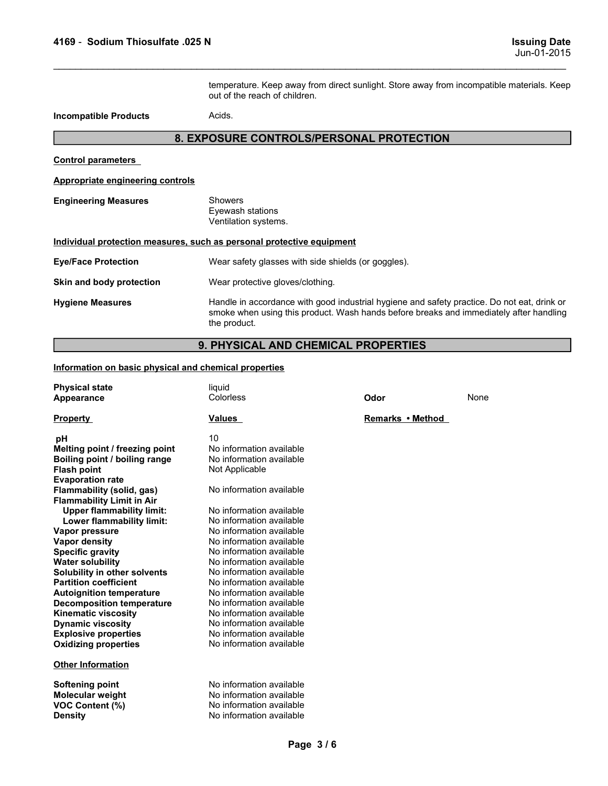1169 - Sodium Thiosulfate .025 N<br>Issuing Date<br>temperature. Keep away from direct sunlight. Store away from incompatible materials. Keep<br>out of the reach of children. **ISSUING DATE:**<br>
ISSUING DATE:<br>
temperature. Keep away from direct sunlight. Store away from incompatible materials. Keep<br>
out of the reach of children.<br>
Acids.<br> **OSURE CONTROLS/PERSONAL PROTECTION ISSUING Date**<br>
Jun-01-2015<br>
temperature. Keep away from direct sunlight. Store away from incompatible materials. Keep<br>
out of the reach of children.<br>
Acids.<br> **OSURE CONTROLS/PERSONAL PROTECTION** 4169 - Sodium Thiosulfate .025 N<br>
temperature. Keep away from direct sunlight. Store away<br>
out of the reach of children.<br>
Acids.<br> **Acides.**<br> **Acides.**<br> **Acides.**<br> **Acides.**<br> **Acides.**<br> **Acides.**<br> **Acides.**<br> **Acides.**<br> **Aci** 

# 8. EXPOSURE CONTROLS/PERSONAL PROTECTION

# 4169 - Sodium Thiosulfate .025 N<br>
temperature. Keep away from direct sunlight. Store<br>
out of the reach of children.<br> **Control parameters<br>
S. EXPOSURE CONTROLS/PERSONAL PROTE<br>
Control parameters<br>
Appropriate engineering con** 4169 - Sodium Thiosulfate .025 N<br>
temperature. Keep away from direct sunlight. Store away from incomp<br>
out of the reach of children.<br>
Acids.<br> **A. EXPOSURE CONTROLS/PERSONAL PROTECTION**<br>
Control parameters<br>
Appropriate engi 4169 - Sodium Thiosulfate .025 N<br>
temperature. Keep away from direct sunlight. Store away<br>
out of the reach of children.<br> **Incompatible Products**<br>
Acids.<br> **EXPOSURE CONTROLS/PERSONAL PROTECTI**<br>
Control parameters<br>
Appropri

| Sodium Thiosulfate .025 N                                             |                                                            |                                          |                                                                                                                                                                                       |
|-----------------------------------------------------------------------|------------------------------------------------------------|------------------------------------------|---------------------------------------------------------------------------------------------------------------------------------------------------------------------------------------|
| 4169 -                                                                |                                                            |                                          | <b>Issuing Date</b><br>Jun-01-2015                                                                                                                                                    |
|                                                                       | out of the reach of children.                              |                                          | temperature. Keep away from direct sunlight. Store away from incompatible materials. Keep                                                                                             |
| <b>Incompatible Products</b>                                          | Acids.                                                     |                                          |                                                                                                                                                                                       |
|                                                                       |                                                            | 8. EXPOSURE CONTROLS/PERSONAL PROTECTION |                                                                                                                                                                                       |
| <b>Control parameters</b>                                             |                                                            |                                          |                                                                                                                                                                                       |
| Appropriate engineering controls                                      |                                                            |                                          |                                                                                                                                                                                       |
| <b>Engineering Measures</b>                                           | <b>Showers</b><br>Eyewash stations<br>Ventilation systems. |                                          |                                                                                                                                                                                       |
| Individual protection measures, such as personal protective equipment |                                                            |                                          |                                                                                                                                                                                       |
| <b>Eye/Face Protection</b>                                            | Wear safety glasses with side shields (or goggles).        |                                          |                                                                                                                                                                                       |
| Skin and body protection                                              | Wear protective gloves/clothing.                           |                                          |                                                                                                                                                                                       |
| <b>Hygiene Measures</b>                                               | the product.                                               |                                          | Handle in accordance with good industrial hygiene and safety practice. Do not eat, drink or<br>smoke when using this product. Wash hands before breaks and immediately after handling |
|                                                                       |                                                            | 9. PHYSICAL AND CHEMICAL PROPERTIES      |                                                                                                                                                                                       |
| Information on basic physical and chemical properties                 |                                                            |                                          |                                                                                                                                                                                       |
| <b>Physical state</b><br><b>Appearance</b>                            | liquid<br>Colorless                                        | Odor                                     | None                                                                                                                                                                                  |
| <b>Property</b>                                                       | <b>Values</b>                                              | Remarks • Method                         |                                                                                                                                                                                       |
| рH<br>Melting point / freezing point                                  | 10<br>No information available                             |                                          |                                                                                                                                                                                       |

# 9. PHYSICAL AND CHEMICAL PROPERTIES

| <b>Engineering Measures</b>                                                                                                                                                                                                                                                                                                                                                                                                                                                                                                                                                                                                                         | <b>Showers</b><br>Eyewash stations<br>Ventilation systems.                                                                                                                                                                                                                                                                                                                                                                                                                                                       |                  |      |  |  |
|-----------------------------------------------------------------------------------------------------------------------------------------------------------------------------------------------------------------------------------------------------------------------------------------------------------------------------------------------------------------------------------------------------------------------------------------------------------------------------------------------------------------------------------------------------------------------------------------------------------------------------------------------------|------------------------------------------------------------------------------------------------------------------------------------------------------------------------------------------------------------------------------------------------------------------------------------------------------------------------------------------------------------------------------------------------------------------------------------------------------------------------------------------------------------------|------------------|------|--|--|
| Individual protection measures, such as personal protective equipment                                                                                                                                                                                                                                                                                                                                                                                                                                                                                                                                                                               |                                                                                                                                                                                                                                                                                                                                                                                                                                                                                                                  |                  |      |  |  |
| <b>Eye/Face Protection</b>                                                                                                                                                                                                                                                                                                                                                                                                                                                                                                                                                                                                                          | Wear safety glasses with side shields (or goggles).                                                                                                                                                                                                                                                                                                                                                                                                                                                              |                  |      |  |  |
| Skin and body protection                                                                                                                                                                                                                                                                                                                                                                                                                                                                                                                                                                                                                            | Wear protective gloves/clothing.                                                                                                                                                                                                                                                                                                                                                                                                                                                                                 |                  |      |  |  |
| <b>Hygiene Measures</b>                                                                                                                                                                                                                                                                                                                                                                                                                                                                                                                                                                                                                             | Handle in accordance with good industrial hygiene and safety practice. Do not eat, drink or<br>smoke when using this product. Wash hands before breaks and immediately after handling<br>the product.                                                                                                                                                                                                                                                                                                            |                  |      |  |  |
|                                                                                                                                                                                                                                                                                                                                                                                                                                                                                                                                                                                                                                                     | 9. PHYSICAL AND CHEMICAL PROPERTIES                                                                                                                                                                                                                                                                                                                                                                                                                                                                              |                  |      |  |  |
| Information on basic physical and chemical properties                                                                                                                                                                                                                                                                                                                                                                                                                                                                                                                                                                                               |                                                                                                                                                                                                                                                                                                                                                                                                                                                                                                                  |                  |      |  |  |
| <b>Physical state</b>                                                                                                                                                                                                                                                                                                                                                                                                                                                                                                                                                                                                                               | liquid                                                                                                                                                                                                                                                                                                                                                                                                                                                                                                           |                  |      |  |  |
| Appearance                                                                                                                                                                                                                                                                                                                                                                                                                                                                                                                                                                                                                                          | Colorless                                                                                                                                                                                                                                                                                                                                                                                                                                                                                                        | Odor             | None |  |  |
| <b>Property</b>                                                                                                                                                                                                                                                                                                                                                                                                                                                                                                                                                                                                                                     | <u>Values</u>                                                                                                                                                                                                                                                                                                                                                                                                                                                                                                    | Remarks • Method |      |  |  |
| pH<br>Melting point / freezing point<br>Boiling point / boiling range<br><b>Flash point</b><br><b>Evaporation rate</b><br>Flammability (solid, gas)<br><b>Flammability Limit in Air</b><br><b>Upper flammability limit:</b><br>Lower flammability limit:<br>Vapor pressure<br><b>Vapor density</b><br><b>Specific gravity</b><br><b>Water solubility</b><br>Solubility in other solvents<br><b>Partition coefficient</b><br><b>Autoignition temperature</b><br><b>Decomposition temperature</b><br><b>Kinematic viscosity</b><br><b>Dynamic viscosity</b><br><b>Explosive properties</b><br><b>Oxidizing properties</b><br><b>Other Information</b> | 10<br>No information available<br>No information available<br>Not Applicable<br>No information available<br>No information available<br>No information available<br>No information available<br>No information available<br>No information available<br>No information available<br>No information available<br>No information available<br>No information available<br>No information available<br>No information available<br>No information available<br>No information available<br>No information available |                  |      |  |  |
|                                                                                                                                                                                                                                                                                                                                                                                                                                                                                                                                                                                                                                                     |                                                                                                                                                                                                                                                                                                                                                                                                                                                                                                                  |                  |      |  |  |
| <b>Softening point</b><br><b>Molecular weight</b><br>VOC Content (%)<br><b>Density</b>                                                                                                                                                                                                                                                                                                                                                                                                                                                                                                                                                              | No information available<br>No information available<br>No information available<br>No information available                                                                                                                                                                                                                                                                                                                                                                                                     |                  |      |  |  |
|                                                                                                                                                                                                                                                                                                                                                                                                                                                                                                                                                                                                                                                     | Page 3/6                                                                                                                                                                                                                                                                                                                                                                                                                                                                                                         |                  |      |  |  |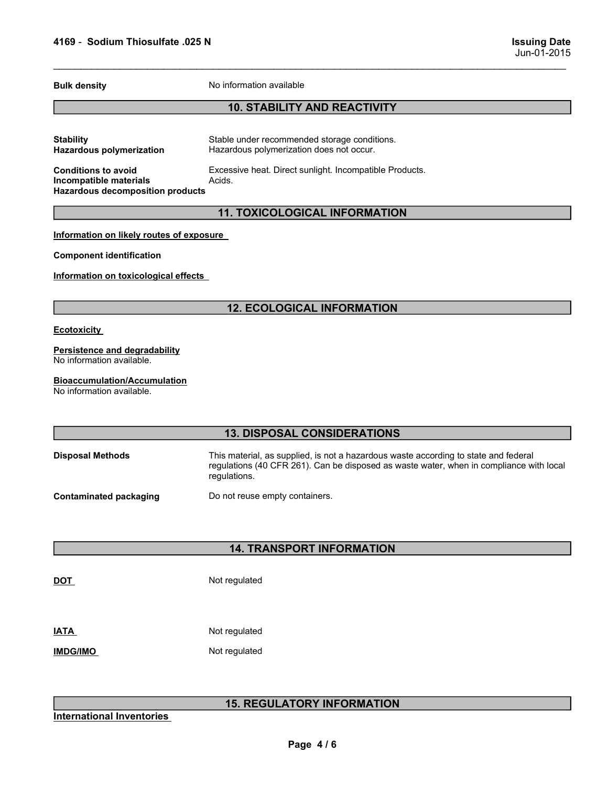|                                                                                                 |                                                                                                                                                                                                | Jun-01-2015 |
|-------------------------------------------------------------------------------------------------|------------------------------------------------------------------------------------------------------------------------------------------------------------------------------------------------|-------------|
| <b>Bulk density</b>                                                                             | No information available                                                                                                                                                                       |             |
|                                                                                                 | <b>10. STABILITY AND REACTIVITY</b>                                                                                                                                                            |             |
| <b>Stability</b><br><b>Hazardous polymerization</b>                                             | Stable under recommended storage conditions.<br>Hazardous polymerization does not occur.                                                                                                       |             |
| <b>Conditions to avoid</b><br>Incompatible materials<br><b>Hazardous decomposition products</b> | Excessive heat. Direct sunlight. Incompatible Products.<br>Acids.                                                                                                                              |             |
|                                                                                                 | <b>11. TOXICOLOGICAL INFORMATION</b>                                                                                                                                                           |             |
| Information on likely routes of exposure                                                        |                                                                                                                                                                                                |             |
| <b>Component identification</b>                                                                 |                                                                                                                                                                                                |             |
| Information on toxicological effects                                                            |                                                                                                                                                                                                |             |
|                                                                                                 | <b>12. ECOLOGICAL INFORMATION</b>                                                                                                                                                              |             |
| <b>Ecotoxicity</b>                                                                              |                                                                                                                                                                                                |             |
| <b>Persistence and degradability</b><br>No information available.                               |                                                                                                                                                                                                |             |
| <b>Bioaccumulation/Accumulation</b><br>No information available.                                |                                                                                                                                                                                                |             |
|                                                                                                 | <b>13. DISPOSAL CONSIDERATIONS</b>                                                                                                                                                             |             |
| <b>Disposal Methods</b>                                                                         | This material, as supplied, is not a hazardous waste according to state and federal<br>regulations (40 CFR 261). Can be disposed as waste water, when in compliance with local<br>regulations. |             |
| <b>Contaminated packaging</b>                                                                   | Do not reuse empty containers.                                                                                                                                                                 |             |
|                                                                                                 | <b>14. TRANSPORT INFORMATION</b>                                                                                                                                                               |             |
| <u>DOT</u>                                                                                      | Not regulated                                                                                                                                                                                  |             |
| <b>ATA</b>                                                                                      | Not regulated                                                                                                                                                                                  |             |
| <b>IMDG/IMO</b>                                                                                 | Not regulated                                                                                                                                                                                  |             |
|                                                                                                 | <b>15. REGULATORY INFORMATION</b>                                                                                                                                                              |             |
| <b>International Inventories</b>                                                                |                                                                                                                                                                                                |             |
|                                                                                                 | Page 4/6                                                                                                                                                                                       |             |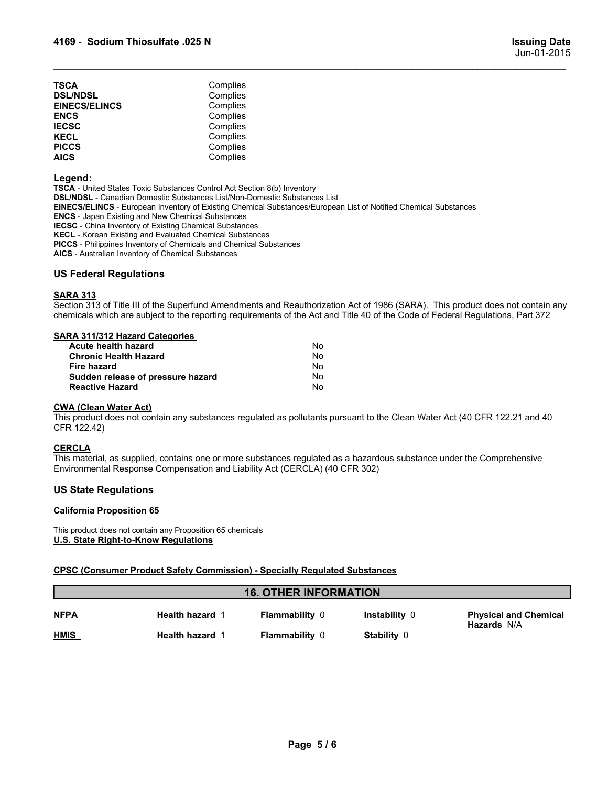| 4169 - Sodium Thiosulfate .025 N                             |                                  | <b>Issuing Date</b><br>Jun-01-2015 |
|--------------------------------------------------------------|----------------------------------|------------------------------------|
| TSCA                                                         | Complies                         |                                    |
| <b>DSL/NDSL</b>                                              | Complies                         |                                    |
| <b>EINECS/ELINCS</b>                                         | Complies                         |                                    |
|                                                              | Complies<br>Complies             |                                    |
|                                                              |                                  |                                    |
|                                                              |                                  |                                    |
| <b>ENCS<br/>IECSC<br/>KECL<br/>PICCS<br/></b><br><b>AICS</b> | Complies<br>Complies<br>Complies |                                    |

# Legend:

TSCA - United States Toxic Substances Control Act Section 8(b) Inventory DSL/NDSL - Canadian Domestic Substances List/Non-Domestic Substances List EINECS/ELINCS - European Inventory of Existing Chemical Substances/European List of Notified Chemical Substances ENCS - Japan Existing and New Chemical Substances IECSC - China Inventory of Existing Chemical Substances KECL - Korean Existing and Evaluated Chemical Substances PICCS - Philippines Inventory of Chemicals and Chemical Substances AICS - Australian Inventory of Chemical Substances **4169 - Sodium Thiosulfate .025 N<br>
SCA Complies<br>
DEMECS/ELINCS<br>
EINECS/ELINCS<br>
EINECS/ELINCS<br>
ENCS<br>
EINECS/ELINCS<br>
EINECS/ELINCS<br>
EINECS<br>
IECS<br>
IECS<br>
IECS<br>
IECS<br>
IECS<br>
IECS<br>
LEGS<br>
LEGS<br>
LEGS<br>
LEGS<br>
LEGS<br>
LEGS<br>
LEGS<br>
LEGS<br>** Section 313 of Title III of the Superfund Amendments and Reauthorization Act of 1986 (SARA). This product does not contain any<br> **ENERGY ELINGS**<br> **ENERGY ENERGY COMPRISE**<br> **ENERGY COMPRISE**<br> **ENERGY COMPRISE COMPRISE**<br> **ENE** TSCA<br>
Complies<br>
ENCS<br>
ENCS<br>
ENCS<br>
ENCS<br>
ENCS<br>
ECOL<br>
Complies<br>
ECOL<br>
Complies<br>
MECOL<br>
Complies<br>
MECOL<br>
Complies<br>
MECOL<br>
Complies<br>
MECOL<br>
COMPRES<br>
COMPRES<br>
ISONING - Cannatan Domestic Substance ListWo-Domesic Substances List TSCA<br>
SEN-NOSL Complies<br>
SEN-NOSL Complies<br>
EINECS/ELINGS<br>
EINECS<br>
EINECS<br>
EINECS<br>
IECSC<br>
IECSC<br>
IECSC<br>
IECSC<br>
PICCS<br>
PICCS<br>
PICCS<br>
PICCS<br>
PICCS<br>
PICCS<br>
PICCS<br>
ANDEL -Complies<br>
PICCS<br>
PICCS<br>
EINECS/ELINGS - European Invent **And States Control Completes**<br>
Completes<br>
SCRIFLINGS<br>
SCRIFLINGS<br>
SCRIFT CONTEX Completes<br>
SCRIPT Completes<br>
SCRIPT Completes<br>
SCRIPT Constant Domestic Substances ListNon-Domestic Substances List<br>
ACUTES<br>
ACUTES<br>
ACUTES<br> **ECOSELINGS**<br>
Complies<br>
SC Complies<br>
SC Complies<br>
SC Complies<br>
SC Complies<br>
SC Complies<br>
SC Chronic Assume Complies<br>
A Junited States Toxic Substances List<br>
A Divided States Toxic Substances List<br>
A Divided States Toxic Su SC<br>
SC<br>
SC<br>
SC<br>
SC<br>
SC<br>
SC<br>
SC<br>
SC<br>
A - United States Toxic Substances Control Act Section 8(b) Inventory<br>
A - United States Toxic Substances List<br>
A - United States of presents substances Listerion-Diversion States<br>
SC - FIGUS<br>
INCRET COMPUTE:<br>
INCREMENTATION COMPUTE:<br>
INCREMENTATION SURFAIRING STATE CONDUCT ON A CONDUCT ON DRIVING SURFAIRING SERVICE - Character EUNIVER CHARGE SURFAIRING SURFAIRING SURFAIRING SURFAIRING SURFAIRING SURFAIRI Nice and the Containst Containst Containst School Newton Particular and Newton Particular School Newton Particular School Newton Particular School Newton Particular School Newton Particular School Newton Particular School This material, as supplied, contains one or more substances regulated as a hazardous substances results. This means the Comprehensive means of the Comprehensive means of the Comprehensive means of the Comprehensive of Comp ENGE - Apprents that may alw Chernical Studiences<br>
ENGE - China Inventory of Existing Chernical Substances<br>
KEGE - China Inventory of Chiental Substances<br>
KEGE - Principles inventory of Chernical Substances<br>
MAGE - Act and

SARA 313<br>Section 313 of Title III of the Superfund Amendments and Reauthorization Act of 1986 (SARA). This product does not contain any

| This product does not contain any Proposition 65 chemicals<br>U.S. State Right-to-Know Regulations<br><b>CPSC (Consumer Product Safety Commission) - Specially Regulated Substances</b>                                             |          |  |
|-------------------------------------------------------------------------------------------------------------------------------------------------------------------------------------------------------------------------------------|----------|--|
|                                                                                                                                                                                                                                     |          |  |
|                                                                                                                                                                                                                                     |          |  |
| <b>California Proposition 65</b>                                                                                                                                                                                                    |          |  |
| <b>US State Regulations</b>                                                                                                                                                                                                         |          |  |
| <u>CERCLA</u><br>This material, as supplied, contains one or more substances regulated as a hazardous substance under the Com<br>Environmental Response Compensation and Liability Act (CERCLA) (40 CFR 302)                        |          |  |
| <u>CWA (Clean Water Act)</u><br>This product does not contain any substances regulated as pollutants pursuant to the Clean Water Act (40 CFR 1<br>CFR 122.42)                                                                       |          |  |
| <b>Reactive Hazard</b>                                                                                                                                                                                                              | No       |  |
| Sudden release of pressure hazard                                                                                                                                                                                                   | No       |  |
| <b>Fire hazard</b>                                                                                                                                                                                                                  | No       |  |
| Acute health hazard<br><b>Chronic Health Hazard</b>                                                                                                                                                                                 | No<br>No |  |
| SARA 311/312 Hazard Categories                                                                                                                                                                                                      |          |  |
| Section 313 of Title III of the Superfund Amendments and Reauthorization Act of 1986 (SARA). This product doe<br>chemicals which are subject to the reporting requirements of the Act and Title 40 of the Code of Federal Regulatio |          |  |
| SARA 313                                                                                                                                                                                                                            |          |  |
|                                                                                                                                                                                                                                     |          |  |
|                                                                                                                                                                                                                                     |          |  |
| PICCS - Philippines Inventory of Chemicals and Chemical Substances<br>AICS - Australian Inventory of Chemical Substances<br><b>US Federal Regulations</b>                                                                           |          |  |

# **CERCLA**

|                                                                     | chemicals which are subject to the reporting requirements of the Act and Title 40 of the Code of Federal Regulations, Part 372                                                                        |                                   |               |                                                    |
|---------------------------------------------------------------------|-------------------------------------------------------------------------------------------------------------------------------------------------------------------------------------------------------|-----------------------------------|---------------|----------------------------------------------------|
| Acute health hazard<br><b>Fire hazard</b><br><b>Reactive Hazard</b> | <b>SARA 311/312 Hazard Categories</b><br><b>Chronic Health Hazard</b><br>Sudden release of pressure hazard                                                                                            | No<br>No<br>No<br>No<br><b>No</b> |               |                                                    |
| <b>CWA (Clean Water Act)</b><br>CFR 122.42)                         | This product does not contain any substances regulated as pollutants pursuant to the Clean Water Act (40 CFR 122.21 and 40                                                                            |                                   |               |                                                    |
| <b>CERCLA</b>                                                       | This material, as supplied, contains one or more substances regulated as a hazardous substance under the Comprehensive<br>Environmental Response Compensation and Liability Act (CERCLA) (40 CFR 302) |                                   |               |                                                    |
| <b>US State Regulations</b>                                         |                                                                                                                                                                                                       |                                   |               |                                                    |
| <b>California Proposition 65</b>                                    |                                                                                                                                                                                                       |                                   |               |                                                    |
|                                                                     | This product does not contain any Proposition 65 chemicals<br>U.S. State Right-to-Know Regulations                                                                                                    |                                   |               |                                                    |
|                                                                     | <b>CPSC (Consumer Product Safety Commission) - Specially Regulated Substances</b>                                                                                                                     |                                   |               |                                                    |
|                                                                     |                                                                                                                                                                                                       | <b>16. OTHER INFORMATION</b>      |               |                                                    |
| <b>NFPA</b>                                                         | Health hazard 1                                                                                                                                                                                       | Flammability 0                    | Instability 0 | <b>Physical and Chemical</b><br><b>Hazards N/A</b> |
| <b>HMIS</b>                                                         | Health hazard 1                                                                                                                                                                                       | Flammability 0                    | Stability 0   |                                                    |
|                                                                     |                                                                                                                                                                                                       |                                   |               |                                                    |
|                                                                     |                                                                                                                                                                                                       |                                   |               |                                                    |
|                                                                     |                                                                                                                                                                                                       |                                   |               |                                                    |
|                                                                     |                                                                                                                                                                                                       |                                   |               |                                                    |
|                                                                     |                                                                                                                                                                                                       | Page 5/6                          |               |                                                    |
|                                                                     |                                                                                                                                                                                                       |                                   |               |                                                    |
|                                                                     |                                                                                                                                                                                                       |                                   |               |                                                    |